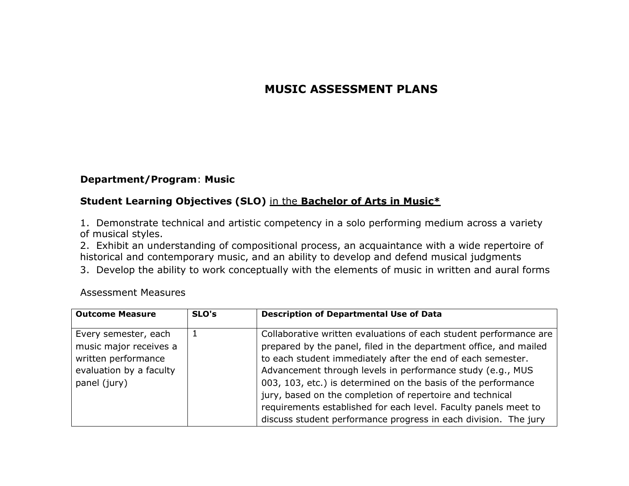# **MUSIC ASSESSMENT PLANS**

# **Department/Program**: **Music**

# **Student Learning Objectives (SLO)** in the **Bachelor of Arts in Music\***

1. Demonstrate technical and artistic competency in a solo performing medium across a variety of musical styles.

2. Exhibit an understanding of compositional process, an acquaintance with a wide repertoire of historical and contemporary music, and an ability to develop and defend musical judgments

3. Develop the ability to work conceptually with the elements of music in written and aural forms

| <b>Outcome Measure</b>  | SLO's | <b>Description of Departmental Use of Data</b>                    |
|-------------------------|-------|-------------------------------------------------------------------|
|                         |       |                                                                   |
| Every semester, each    |       | Collaborative written evaluations of each student performance are |
| music major receives a  |       | prepared by the panel, filed in the department office, and mailed |
| written performance     |       | to each student immediately after the end of each semester.       |
| evaluation by a faculty |       | Advancement through levels in performance study (e.g., MUS        |
| panel (jury)            |       | 003, 103, etc.) is determined on the basis of the performance     |
|                         |       | jury, based on the completion of repertoire and technical         |
|                         |       | requirements established for each level. Faculty panels meet to   |
|                         |       | discuss student performance progress in each division. The jury   |

Assessment Measures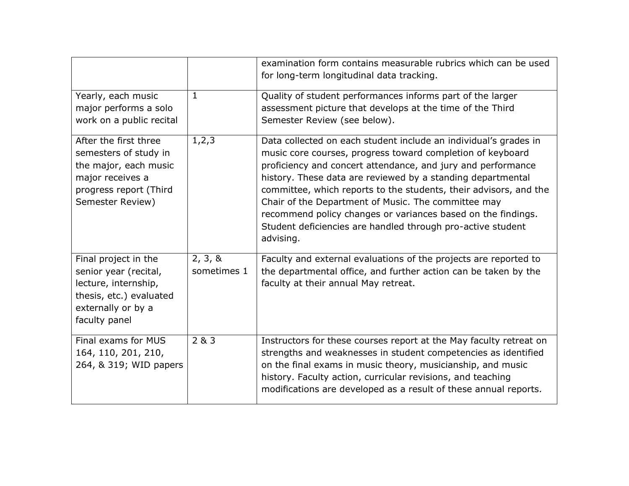|                                                                                                                                           |                        | examination form contains measurable rubrics which can be used<br>for long-term longitudinal data tracking.                                                                                                                                                                                                                                                                                                                                                                                                                           |
|-------------------------------------------------------------------------------------------------------------------------------------------|------------------------|---------------------------------------------------------------------------------------------------------------------------------------------------------------------------------------------------------------------------------------------------------------------------------------------------------------------------------------------------------------------------------------------------------------------------------------------------------------------------------------------------------------------------------------|
| Yearly, each music<br>major performs a solo<br>work on a public recital                                                                   | 1                      | Quality of student performances informs part of the larger<br>assessment picture that develops at the time of the Third<br>Semester Review (see below).                                                                                                                                                                                                                                                                                                                                                                               |
| After the first three<br>semesters of study in<br>the major, each music<br>major receives a<br>progress report (Third<br>Semester Review) | 1, 2, 3                | Data collected on each student include an individual's grades in<br>music core courses, progress toward completion of keyboard<br>proficiency and concert attendance, and jury and performance<br>history. These data are reviewed by a standing departmental<br>committee, which reports to the students, their advisors, and the<br>Chair of the Department of Music. The committee may<br>recommend policy changes or variances based on the findings.<br>Student deficiencies are handled through pro-active student<br>advising. |
| Final project in the<br>senior year (recital,<br>lecture, internship,<br>thesis, etc.) evaluated<br>externally or by a<br>faculty panel   | 2, 3, 8<br>sometimes 1 | Faculty and external evaluations of the projects are reported to<br>the departmental office, and further action can be taken by the<br>faculty at their annual May retreat.                                                                                                                                                                                                                                                                                                                                                           |
| Final exams for MUS<br>164, 110, 201, 210,<br>264, & 319; WID papers                                                                      | 2 & 3                  | Instructors for these courses report at the May faculty retreat on<br>strengths and weaknesses in student competencies as identified<br>on the final exams in music theory, musicianship, and music<br>history. Faculty action, curricular revisions, and teaching<br>modifications are developed as a result of these annual reports.                                                                                                                                                                                                |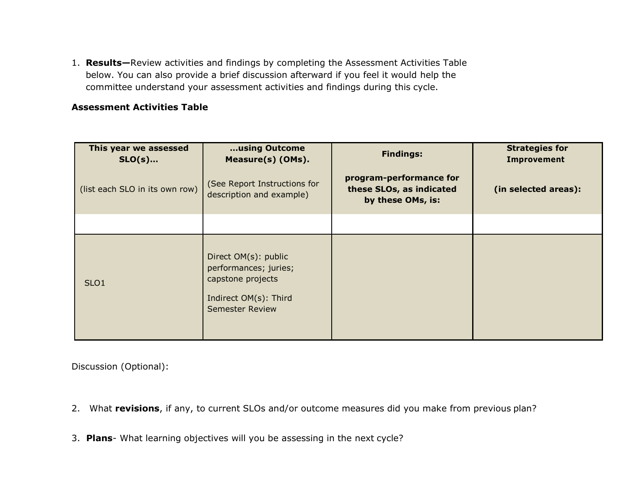1. **Results—**Review activities and findings by completing the Assessment Activities Table below. You can also provide a brief discussion afterward if you feel it would help the committee understand your assessment activities and findings during this cycle.

# **Assessment Activities Table**

| This year we assessed<br>$SLO(s)$ | using Outcome<br>Measure(s) (OMs).                                                                                    | <b>Findings:</b>                                                         | <b>Strategies for</b><br><b>Improvement</b> |
|-----------------------------------|-----------------------------------------------------------------------------------------------------------------------|--------------------------------------------------------------------------|---------------------------------------------|
| (list each SLO in its own row)    | (See Report Instructions for<br>description and example)                                                              | program-performance for<br>these SLOs, as indicated<br>by these OMs, is: | (in selected areas):                        |
|                                   |                                                                                                                       |                                                                          |                                             |
| SLO <sub>1</sub>                  | Direct OM(s): public<br>performances; juries;<br>capstone projects<br>Indirect OM(s): Third<br><b>Semester Review</b> |                                                                          |                                             |

Discussion (Optional):

- 2. What **revisions**, if any, to current SLOs and/or outcome measures did you make from previous plan?
- 3. **Plans** What learning objectives will you be assessing in the next cycle?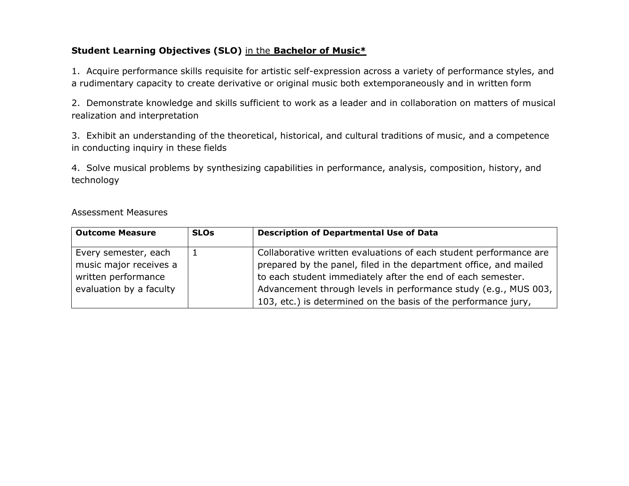# **Student Learning Objectives (SLO)** in the **Bachelor of Music\***

1. Acquire performance skills requisite for artistic self-expression across a variety of performance styles, and a rudimentary capacity to create derivative or original music both extemporaneously and in written form

2. Demonstrate knowledge and skills sufficient to work as a leader and in collaboration on matters of musical realization and interpretation

3. Exhibit an understanding of the theoretical, historical, and cultural traditions of music, and a competence in conducting inquiry in these fields

4. Solve musical problems by synthesizing capabilities in performance, analysis, composition, history, and technology

| <b>Outcome Measure</b>                                                                           | <b>SLOs</b> | <b>Description of Departmental Use of Data</b>                                                                                                                                                                                                                                                                                             |
|--------------------------------------------------------------------------------------------------|-------------|--------------------------------------------------------------------------------------------------------------------------------------------------------------------------------------------------------------------------------------------------------------------------------------------------------------------------------------------|
| Every semester, each<br>music major receives a<br>written performance<br>evaluation by a faculty |             | Collaborative written evaluations of each student performance are<br>prepared by the panel, filed in the department office, and mailed<br>to each student immediately after the end of each semester.<br>Advancement through levels in performance study (e.g., MUS 003,<br>103, etc.) is determined on the basis of the performance jury, |

#### Assessment Measures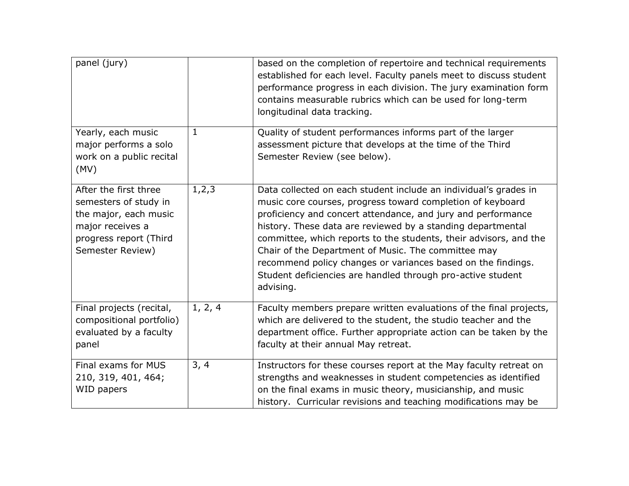| panel (jury)                                                                                                                              |         | based on the completion of repertoire and technical requirements<br>established for each level. Faculty panels meet to discuss student<br>performance progress in each division. The jury examination form<br>contains measurable rubrics which can be used for long-term<br>longitudinal data tracking.                                                                                                                                                                                                                              |
|-------------------------------------------------------------------------------------------------------------------------------------------|---------|---------------------------------------------------------------------------------------------------------------------------------------------------------------------------------------------------------------------------------------------------------------------------------------------------------------------------------------------------------------------------------------------------------------------------------------------------------------------------------------------------------------------------------------|
| Yearly, each music<br>major performs a solo<br>work on a public recital<br>(MV)                                                           | 1       | Quality of student performances informs part of the larger<br>assessment picture that develops at the time of the Third<br>Semester Review (see below).                                                                                                                                                                                                                                                                                                                                                                               |
| After the first three<br>semesters of study in<br>the major, each music<br>major receives a<br>progress report (Third<br>Semester Review) | 1, 2, 3 | Data collected on each student include an individual's grades in<br>music core courses, progress toward completion of keyboard<br>proficiency and concert attendance, and jury and performance<br>history. These data are reviewed by a standing departmental<br>committee, which reports to the students, their advisors, and the<br>Chair of the Department of Music. The committee may<br>recommend policy changes or variances based on the findings.<br>Student deficiencies are handled through pro-active student<br>advising. |
| Final projects (recital,<br>compositional portfolio)<br>evaluated by a faculty<br>panel                                                   | 1, 2, 4 | Faculty members prepare written evaluations of the final projects,<br>which are delivered to the student, the studio teacher and the<br>department office. Further appropriate action can be taken by the<br>faculty at their annual May retreat.                                                                                                                                                                                                                                                                                     |
| Final exams for MUS<br>210, 319, 401, 464;<br>WID papers                                                                                  | 3, 4    | Instructors for these courses report at the May faculty retreat on<br>strengths and weaknesses in student competencies as identified<br>on the final exams in music theory, musicianship, and music<br>history. Curricular revisions and teaching modifications may be                                                                                                                                                                                                                                                                |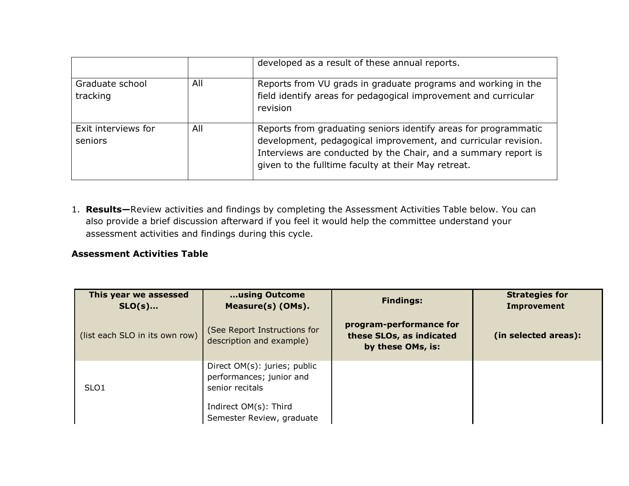|                                |     | developed as a result of these annual reports.                                                                                                                                                                                                             |
|--------------------------------|-----|------------------------------------------------------------------------------------------------------------------------------------------------------------------------------------------------------------------------------------------------------------|
| Graduate school<br>tracking    | All | Reports from VU grads in graduate programs and working in the<br>field identify areas for pedagogical improvement and curricular<br>revision                                                                                                               |
| Exit interviews for<br>seniors | All | Reports from graduating seniors identify areas for programmatic<br>development, pedagogical improvement, and curricular revision.<br>Interviews are conducted by the Chair, and a summary report is<br>given to the fulltime faculty at their May retreat. |

1. **Results—**Review activities and findings by completing the Assessment Activities Table below. You can also provide a brief discussion afterward if you feel it would help the committee understand your assessment activities and findings during this cycle.

#### **Assessment Activities Table**

| This year we assessed<br>$SLO(s)$ | using Outcome<br>Measure(s) (OMs).                                          | <b>Findings:</b>                                                         | <b>Strategies for</b><br><b>Improvement</b> |
|-----------------------------------|-----------------------------------------------------------------------------|--------------------------------------------------------------------------|---------------------------------------------|
| (list each SLO in its own row)    | (See Report Instructions for<br>description and example)                    | program-performance for<br>these SLOs, as indicated<br>by these OMs, is: | (in selected areas):                        |
| SLO <sub>1</sub>                  | Direct OM(s): juries; public<br>performances; junior and<br>senior recitals |                                                                          |                                             |
|                                   | Indirect OM(s): Third<br>Semester Review, graduate                          |                                                                          |                                             |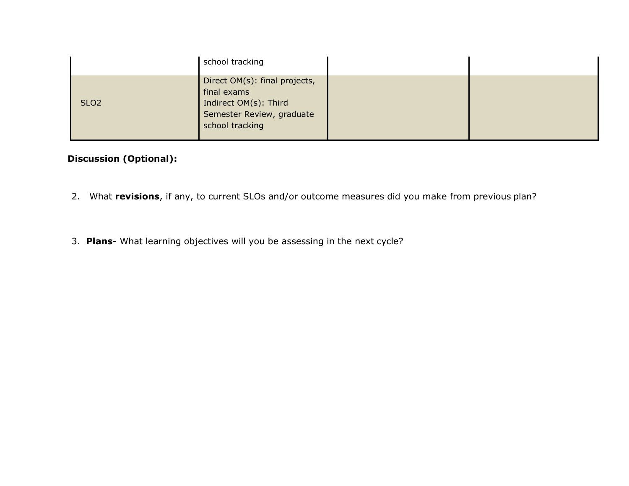|                  | school tracking                                                       |  |
|------------------|-----------------------------------------------------------------------|--|
|                  | Direct OM(s): final projects,<br>final exams                          |  |
| SLO <sub>2</sub> | Indirect OM(s): Third<br>Semester Review, graduate<br>school tracking |  |

# **Discussion (Optional):**

- 2. What **revisions**, if any, to current SLOs and/or outcome measures did you make from previous plan?
- 3. **Plans** What learning objectives will you be assessing in the next cycle?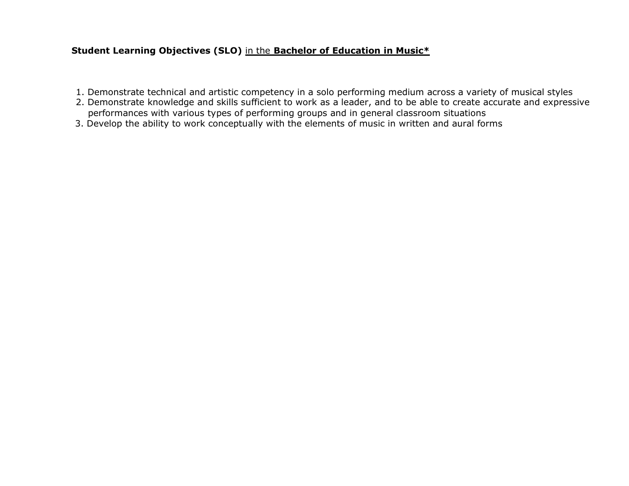### **Student Learning Objectives (SLO)** in the **Bachelor of Education in Music\***

- 1. Demonstrate technical and artistic competency in a solo performing medium across a variety of musical styles
- 2. Demonstrate knowledge and skills sufficient to work as a leader, and to be able to create accurate and expressive performances with various types of performing groups and in general classroom situations
- 3. Develop the ability to work conceptually with the elements of music in written and aural forms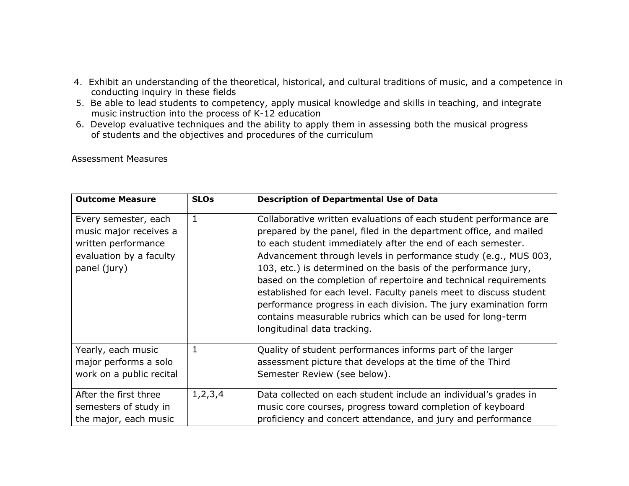- 4. Exhibit an understanding of the theoretical, historical, and cultural traditions of music, and a competence in conducting inquiry in these fields
- 5. Be able to lead students to competency, apply musical knowledge and skills in teaching, and integrate music instruction into the process of K-12 education
- 6. Develop evaluative techniques and the ability to apply them in assessing both the musical progress of students and the objectives and procedures of the curriculum

Assessment Measures

| <b>Outcome Measure</b>                                                                                           | <b>SLOs</b> | <b>Description of Departmental Use of Data</b>                                                                                                                                                                                                                                                                                                                                                                                                                                                                                                                                                                                                         |
|------------------------------------------------------------------------------------------------------------------|-------------|--------------------------------------------------------------------------------------------------------------------------------------------------------------------------------------------------------------------------------------------------------------------------------------------------------------------------------------------------------------------------------------------------------------------------------------------------------------------------------------------------------------------------------------------------------------------------------------------------------------------------------------------------------|
| Every semester, each<br>music major receives a<br>written performance<br>evaluation by a faculty<br>panel (jury) | 1           | Collaborative written evaluations of each student performance are<br>prepared by the panel, filed in the department office, and mailed<br>to each student immediately after the end of each semester.<br>Advancement through levels in performance study (e.g., MUS 003,<br>103, etc.) is determined on the basis of the performance jury,<br>based on the completion of repertoire and technical requirements<br>established for each level. Faculty panels meet to discuss student<br>performance progress in each division. The jury examination form<br>contains measurable rubrics which can be used for long-term<br>longitudinal data tracking. |
| Yearly, each music<br>major performs a solo<br>work on a public recital                                          | 1           | Quality of student performances informs part of the larger<br>assessment picture that develops at the time of the Third<br>Semester Review (see below).                                                                                                                                                                                                                                                                                                                                                                                                                                                                                                |
| After the first three<br>semesters of study in<br>the major, each music                                          | 1, 2, 3, 4  | Data collected on each student include an individual's grades in<br>music core courses, progress toward completion of keyboard<br>proficiency and concert attendance, and jury and performance                                                                                                                                                                                                                                                                                                                                                                                                                                                         |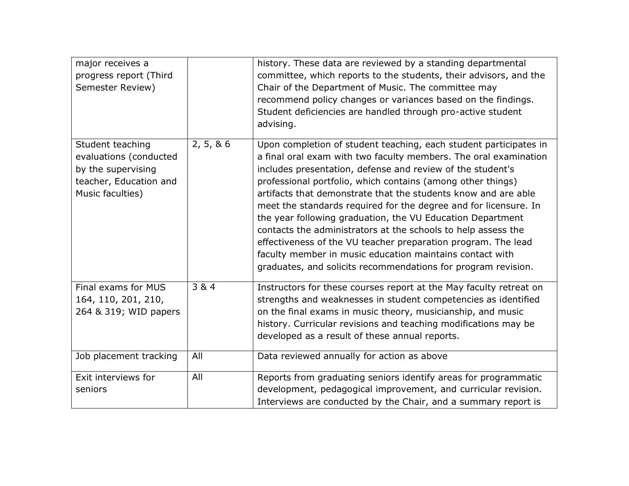| major receives a<br>progress report (Third<br>Semester Review)                                                 |            | history. These data are reviewed by a standing departmental<br>committee, which reports to the students, their advisors, and the<br>Chair of the Department of Music. The committee may<br>recommend policy changes or variances based on the findings.<br>Student deficiencies are handled through pro-active student<br>advising.                                                                                                                                                                                                                                                                                                                                                                                                   |
|----------------------------------------------------------------------------------------------------------------|------------|---------------------------------------------------------------------------------------------------------------------------------------------------------------------------------------------------------------------------------------------------------------------------------------------------------------------------------------------------------------------------------------------------------------------------------------------------------------------------------------------------------------------------------------------------------------------------------------------------------------------------------------------------------------------------------------------------------------------------------------|
| Student teaching<br>evaluations (conducted<br>by the supervising<br>teacher, Education and<br>Music faculties) | 2, 5, 8, 6 | Upon completion of student teaching, each student participates in<br>a final oral exam with two faculty members. The oral examination<br>includes presentation, defense and review of the student's<br>professional portfolio, which contains (among other things)<br>artifacts that demonstrate that the students know and are able<br>meet the standards required for the degree and for licensure. In<br>the year following graduation, the VU Education Department<br>contacts the administrators at the schools to help assess the<br>effectiveness of the VU teacher preparation program. The lead<br>faculty member in music education maintains contact with<br>graduates, and solicits recommendations for program revision. |
| Final exams for MUS<br>164, 110, 201, 210,<br>264 & 319; WID papers                                            | 3 & 4      | Instructors for these courses report at the May faculty retreat on<br>strengths and weaknesses in student competencies as identified<br>on the final exams in music theory, musicianship, and music<br>history. Curricular revisions and teaching modifications may be<br>developed as a result of these annual reports.                                                                                                                                                                                                                                                                                                                                                                                                              |
| Job placement tracking                                                                                         | All        | Data reviewed annually for action as above                                                                                                                                                                                                                                                                                                                                                                                                                                                                                                                                                                                                                                                                                            |
| Exit interviews for<br>seniors                                                                                 | All        | Reports from graduating seniors identify areas for programmatic<br>development, pedagogical improvement, and curricular revision.<br>Interviews are conducted by the Chair, and a summary report is                                                                                                                                                                                                                                                                                                                                                                                                                                                                                                                                   |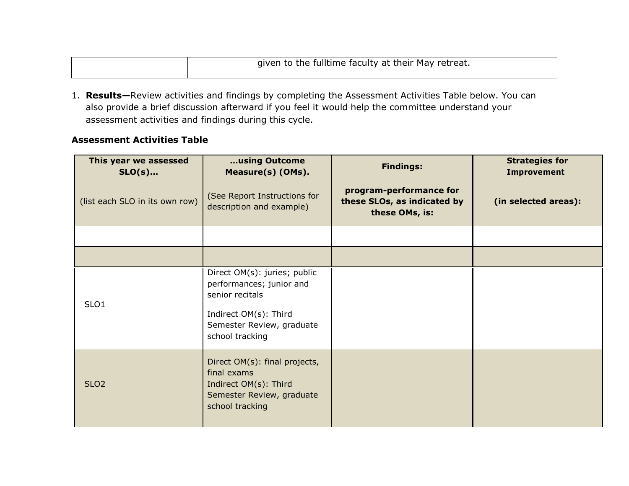|  | I given to the fulltime faculty at their May retreat. |
|--|-------------------------------------------------------|
|--|-------------------------------------------------------|

1. **Results—**Review activities and findings by completing the Assessment Activities Table below. You can also provide a brief discussion afterward if you feel it would help the committee understand your assessment activities and findings during this cycle.

#### **Assessment Activities Table**

| This year we assessed<br>$SLO(s)$ | using Outcome<br>Measure(s) (OMs).                                                                                                                   | <b>Findings:</b>                                                         | <b>Strategies for</b><br><b>Improvement</b> |
|-----------------------------------|------------------------------------------------------------------------------------------------------------------------------------------------------|--------------------------------------------------------------------------|---------------------------------------------|
| (list each SLO in its own row)    | (See Report Instructions for<br>description and example)                                                                                             | program-performance for<br>these SLOs, as indicated by<br>these OMs, is: | (in selected areas):                        |
|                                   |                                                                                                                                                      |                                                                          |                                             |
|                                   |                                                                                                                                                      |                                                                          |                                             |
| SLO <sub>1</sub>                  | Direct OM(s): juries; public<br>performances; junior and<br>senior recitals<br>Indirect OM(s): Third<br>Semester Review, graduate<br>school tracking |                                                                          |                                             |
| SLO <sub>2</sub>                  | Direct OM(s): final projects,<br>final exams<br>Indirect OM(s): Third<br>Semester Review, graduate<br>school tracking                                |                                                                          |                                             |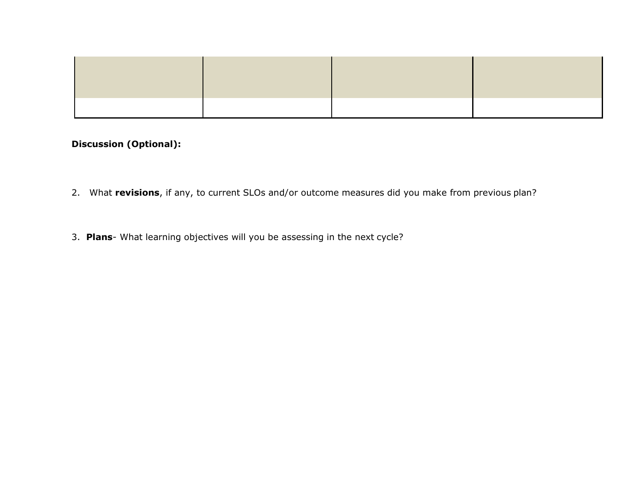# **Discussion (Optional):**

- 2. What **revisions**, if any, to current SLOs and/or outcome measures did you make from previous plan?
- 3. **Plans** What learning objectives will you be assessing in the next cycle?